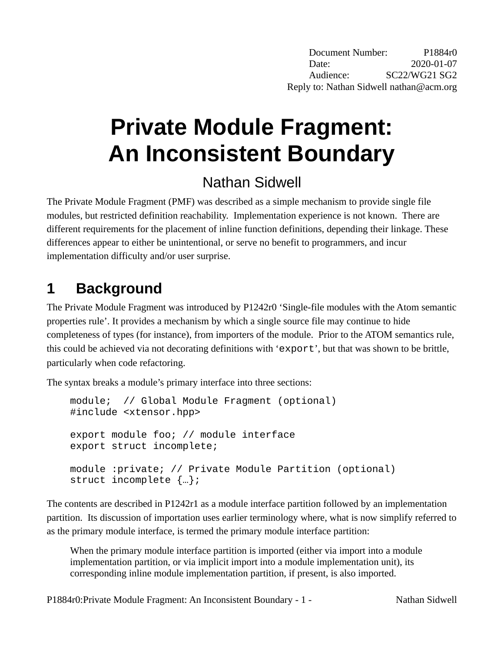# **Private Module Fragment: An Inconsistent Boundary**

## Nathan Sidwell

The Private Module Fragment (PMF) was described as a simple mechanism to provide single file modules, but restricted definition reachability. Implementation experience is not known. There are different requirements for the placement of inline function definitions, depending their linkage. These differences appear to either be unintentional, or serve no benefit to programmers, and incur implementation difficulty and/or user surprise.

## **1 Background**

The Private Module Fragment was introduced by P1242r0 'Single-file modules with the Atom semantic properties rule'. It provides a mechanism by which a single source file may continue to hide completeness of types (for instance), from importers of the module. Prior to the ATOM semantics rule, this could be achieved via not decorating definitions with 'export', but that was shown to be brittle, particularly when code refactoring.

The syntax breaks a module's primary interface into three sections:

```
module; // Global Module Fragment (optional)
#include <xtensor.hpp>
export module foo; // module interface
export struct incomplete;
module :private; // Private Module Partition (optional)
struct incomplete {…};
```
The contents are described in P1242r1 as a module interface partition followed by an implementation partition. Its discussion of importation uses earlier terminology where, what is now simplify referred to as the primary module interface, is termed the primary module interface partition:

When the primary module interface partition is imported (either via import into a module implementation partition, or via implicit import into a module implementation unit), its corresponding inline module implementation partition, if present, is also imported.

P1884r0: Private Module Fragment: An Inconsistent Boundary - 1 - Nathan Sidwell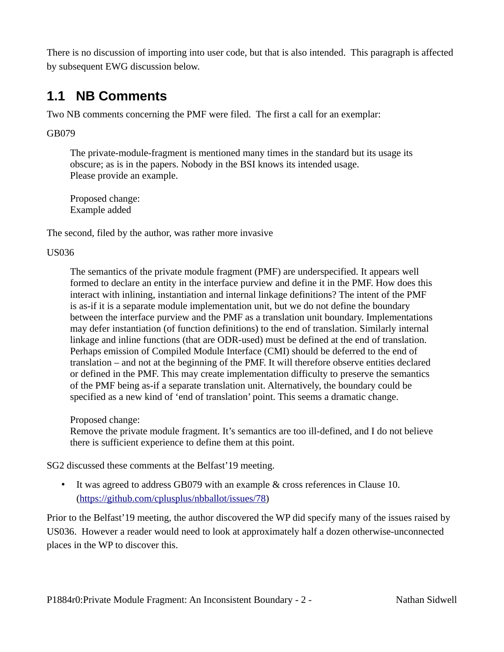There is no discussion of importing into user code, but that is also intended. This paragraph is affected by subsequent EWG discussion below.

#### **1.1 NB Comments**

Two NB comments concerning the PMF were filed. The first a call for an exemplar:

GB079

The private-module-fragment is mentioned many times in the standard but its usage its obscure; as is in the papers. Nobody in the BSI knows its intended usage. Please provide an example.

Proposed change: Example added

The second, filed by the author, was rather more invasive

#### US036

The semantics of the private module fragment (PMF) are underspecified. It appears well formed to declare an entity in the interface purview and define it in the PMF. How does this interact with inlining, instantiation and internal linkage definitions? The intent of the PMF is as-if it is a separate module implementation unit, but we do not define the boundary between the interface purview and the PMF as a translation unit boundary. Implementations may defer instantiation (of function definitions) to the end of translation. Similarly internal linkage and inline functions (that are ODR-used) must be defined at the end of translation. Perhaps emission of Compiled Module Interface (CMI) should be deferred to the end of translation – and not at the beginning of the PMF. It will therefore observe entities declared or defined in the PMF. This may create implementation difficulty to preserve the semantics of the PMF being as-if a separate translation unit. Alternatively, the boundary could be specified as a new kind of 'end of translation' point. This seems a dramatic change.

#### Proposed change:

Remove the private module fragment. It's semantics are too ill-defined, and I do not believe there is sufficient experience to define them at this point.

SG2 discussed these comments at the Belfast'19 meeting.

• It was agreed to address GB079 with an example & cross references in Clause 10. (<https://github.com/cplusplus/nbballot/issues/78>)

Prior to the Belfast'19 meeting, the author discovered the WP did specify many of the issues raised by US036. However a reader would need to look at approximately half a dozen otherwise-unconnected places in the WP to discover this.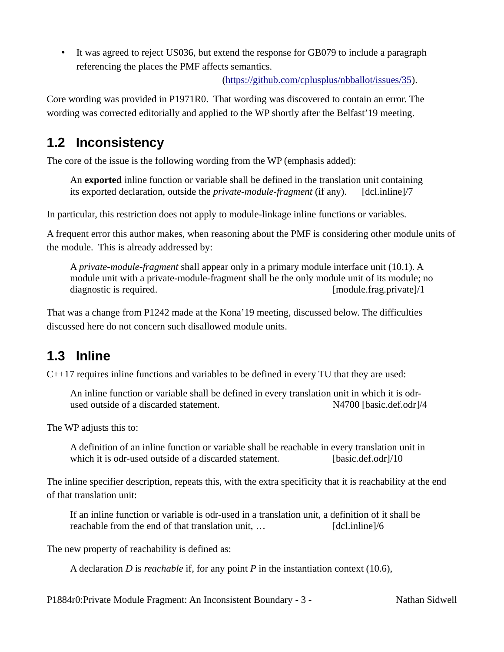• It was agreed to reject US036, but extend the response for GB079 to include a paragraph referencing the places the PMF affects semantics.

[\(https://github.com/cplusplus/nbballot/issues/35](https://github.com/cplusplus/nbballot/issues/35)).

Core wording was provided in P1971R0. That wording was discovered to contain an error. The wording was corrected editorially and applied to the WP shortly after the Belfast'19 meeting.

#### **1.2 Inconsistency**

The core of the issue is the following wording from the WP (emphasis added):

An **exported** inline function or variable shall be defined in the translation unit containing its exported declaration, outside the *private-module-fragment* (if any). [dcl.inline]/7

In particular, this restriction does not apply to module-linkage inline functions or variables.

A frequent error this author makes, when reasoning about the PMF is considering other module units of the module. This is already addressed by:

A *private-module-fragment* shall appear only in a primary module interface unit (10.1). A module unit with a private-module-fragment shall be the only module unit of its module; no diagnostic is required. [module.frag.private]/1

That was a change from P1242 made at the Kona'19 meeting, discussed below. The difficulties discussed here do not concern such disallowed module units.

#### <span id="page-2-0"></span>**1.3 Inline**

C++17 requires inline functions and variables to be defined in every TU that they are used:

An inline function or variable shall be defined in every translation unit in which it is odrused outside of a discarded statement. N4700 [basic.def.odr]/4

The WP adjusts this to:

A definition of an inline function or variable shall be reachable in every translation unit in which it is odr-used outside of a discarded statement. [basic.def.odr]/10

The inline specifier description, repeats this, with the extra specificity that it is reachability at the end of that translation unit:

If an inline function or variable is odr-used in a translation unit, a definition of it shall be reachable from the end of that translation unit, … [dcl.inline]/6

The new property of reachability is defined as:

A declaration *D* is *reachable* if, for any point *P* in the instantiation context (10.6),

P1884r0: Private Module Fragment: An Inconsistent Boundary - 3 - Nathan Sidwell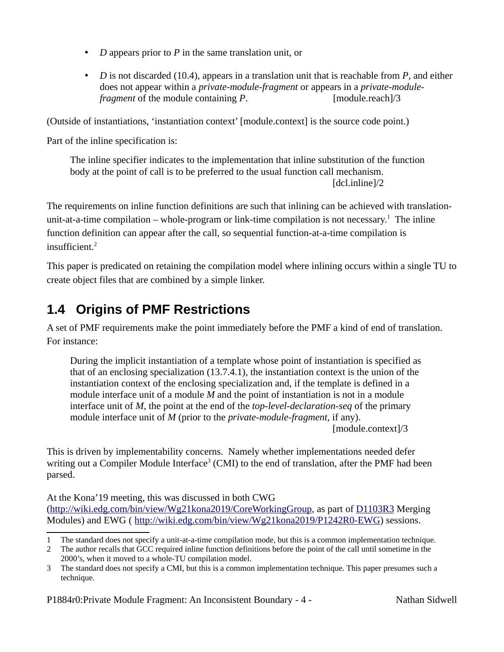- *D* appears prior to *P* in the same translation unit, or
- *D* is not discarded (10.4), appears in a translation unit that is reachable from *P*, and either does not appear within a *private-module-fragment* or appears in a *private-modulefragment* of the module containing *P*. [module.reach]/3

(Outside of instantiations, 'instantiation context' [module.context] is the source code point.)

Part of the inline specification is:

The inline specifier indicates to the implementation that inline substitution of the function body at the point of call is to be preferred to the usual function call mechanism. [dcl.inline]/2

The requirements on inline function definitions are such that inlining can be achieved with translation-unit-at-a-time compilation – whole-program or link-time compilation is not necessary.<sup>[1](#page-3-0)</sup> The inline function definition can appear after the call, so sequential function-at-a-time compilation is  $insufficient<sup>2</sup>$  $insufficient<sup>2</sup>$  $insufficient<sup>2</sup>$ 

This paper is predicated on retaining the compilation model where inlining occurs within a single TU to create object files that are combined by a simple linker.

#### <span id="page-3-3"></span>**1.4 Origins of PMF Restrictions**

A set of PMF requirements make the point immediately before the PMF a kind of end of translation. For instance:

During the implicit instantiation of a template whose point of instantiation is specified as that of an enclosing specialization (13.7.4.1), the instantiation context is the union of the instantiation context of the enclosing specialization and, if the template is defined in a module interface unit of a module *M* and the point of instantiation is not in a module interface unit of *M*, the point at the end of the *top-level-declaration-seq* of the primary module interface unit of *M* (prior to the *private-module-fragment*, if any).

[module.context]/3

This is driven by implementability concerns. Namely whether implementations needed defer writing out a Compiler Module Interface<sup>[3](#page-3-2)</sup> (CMI) to the end of translation, after the PMF had been parsed.

At the Kona'19 meeting, this was discussed in both CWG (<http://wiki.edg.com/bin/view/Wg21kona2019/CoreWorkingGroup>, as part of [D1103R3](http://wiki.edg.com/bin/edit/Wg21kona2019/D1103R3?topicparent=Wg21kona2019.CoreWorkingGroup;nowysiwyg=1) Merging Modules) and EWG (<http://wiki.edg.com/bin/view/Wg21kona2019/P1242R0-EWG>) sessions.

<span id="page-3-0"></span><sup>1</sup> The standard does not specify a unit-at-a-time compilation mode, but this is a common implementation technique.

<span id="page-3-1"></span><sup>2</sup> The author recalls that GCC required inline function definitions before the point of the call until sometime in the 2000's, when it moved to a whole-TU compilation model.

<span id="page-3-2"></span><sup>3</sup> The standard does not specify a CMI, but this is a common implementation technique. This paper presumes such a technique.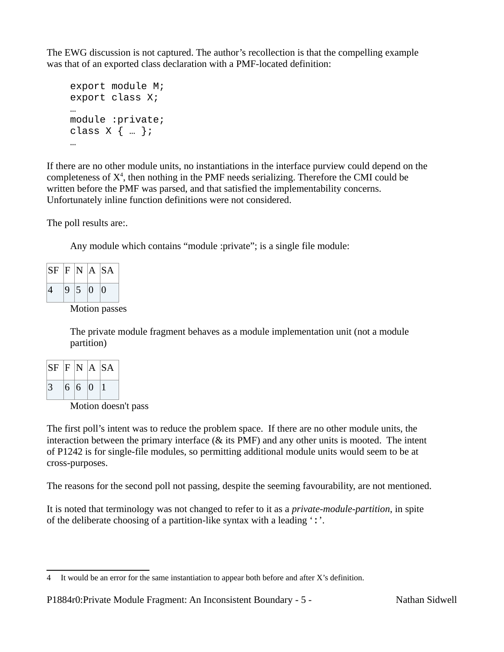The EWG discussion is not captured. The author's recollection is that the compelling example was that of an exported class declaration with a PMF-located definition:

```
export module M;
export class X;
…
module :private;
class X \{ ... \};
…
```
If there are no other module units, no instantiations in the interface purview could depend on the completeness of  $X<sup>4</sup>$  $X<sup>4</sup>$  $X<sup>4</sup>$ , then nothing in the PMF needs serializing. Therefore the CMI could be written before the PMF was parsed, and that satisfied the implementability concerns. Unfortunately inline function definitions were not considered.

The poll results are:.

Any module which contains "module :private"; is a single file module:

| $SF \vert F \vert N \vert A \vert SA$ |       |             |
|---------------------------------------|-------|-------------|
| $\vert 4 \vert$                       | 9 5 0 | $ 0\rangle$ |

Motion passes

The private module fragment behaves as a module implementation unit (not a module partition)

| $SF \vert F \vert N \vert A \vert SA$ |     |             |  |
|---------------------------------------|-----|-------------|--|
| $\overline{3}$                        | 6 6 | $ 0\rangle$ |  |

Motion doesn't pass

The first poll's intent was to reduce the problem space. If there are no other module units, the interaction between the primary interface (& its PMF) and any other units is mooted. The intent of P1242 is for single-file modules, so permitting additional module units would seem to be at cross-purposes.

The reasons for the second poll not passing, despite the seeming favourability, are not mentioned.

It is noted that terminology was not changed to refer to it as a *private-module-partition*, in spite of the deliberate choosing of a partition-like syntax with a leading ':'.

<span id="page-4-0"></span><sup>4</sup> It would be an error for the same instantiation to appear both before and after X's definition.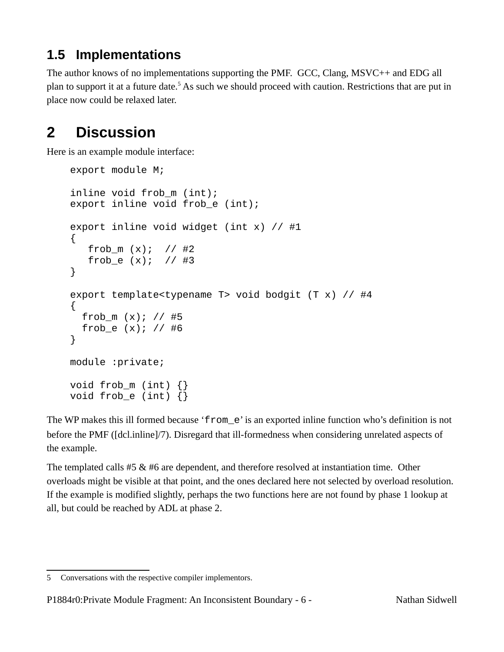### <span id="page-5-2"></span>**1.5 Implementations**

The author knows of no implementations supporting the PMF. GCC, Clang, MSVC++ and EDG all plan to support it at a future date.<sup>[5](#page-5-0)</sup> As such we should proceed with caution. Restrictions that are put in place now could be relaxed later.

### <span id="page-5-1"></span>**2 Discussion**

Here is an example module interface:

```
export module M;
inline void frob_m (int);
export inline void frob_e (int);
export inline void widget (int x) \frac{1}{4} #1
{
   frob m(x); // #2
   frob_e (x); // #3
}
export template<typename T> void bodgit (T x) // #4
{
  frob_m (x); // #5
  frob_e (x); // #6
}
module :private;
void frob_m (int) {}
void frob_e (int) {}
```
The WP makes this ill formed because 'from\_e' is an exported inline function who's definition is not before the PMF ([dcl.inline]/7). Disregard that ill-formedness when considering unrelated aspects of the example.

The templated calls #5 & #6 are dependent, and therefore resolved at instantiation time. Other overloads might be visible at that point, and the ones declared here not selected by overload resolution. If the example is modified slightly, perhaps the two functions here are not found by phase 1 lookup at all, but could be reached by ADL at phase 2.

<span id="page-5-0"></span><sup>5</sup> Conversations with the respective compiler implementors.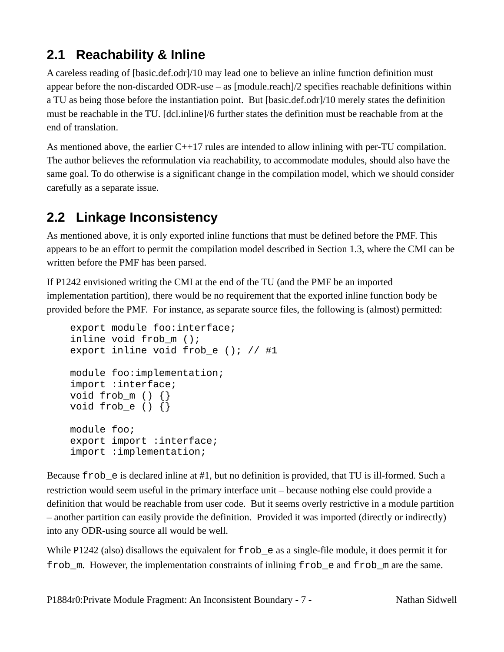### **2.1 Reachability & Inline**

A careless reading of [basic.def.odr]/10 may lead one to believe an inline function definition must appear before the non-discarded ODR-use – as [module.reach]/2 specifies reachable definitions within a TU as being those before the instantiation point. But [basic.def.odr]/10 merely states the definition must be reachable in the TU. [dcl.inline]/6 further states the definition must be reachable from at the end of translation.

As mentioned above, the earlier C++17 rules are intended to allow inlining with per-TU compilation. The author believes the reformulation via reachability, to accommodate modules, should also have the same goal. To do otherwise is a significant change in the compilation model, which we should consider carefully as a separate issue.

#### **2.2 Linkage Inconsistency**

As mentioned above, it is only exported inline functions that must be defined before the PMF. This appears to be an effort to permit the compilation model described in Section [1.3,](#page-2-0) where the CMI can be written before the PMF has been parsed.

If P1242 envisioned writing the CMI at the end of the TU (and the PMF be an imported implementation partition), there would be no requirement that the exported inline function body be provided before the PMF. For instance, as separate source files, the following is (almost) permitted:

```
export module foo:interface;
inline void frob_m ();
export inline void frob_e (); // #1
module foo:implementation;
import :interface;
void frob_m () {}
void frob_e () \{\}module foo;
export import :interface;
import :implementation;
```
Because frob\_e is declared inline at #1, but no definition is provided, that TU is ill-formed. Such a restriction would seem useful in the primary interface unit – because nothing else could provide a definition that would be reachable from user code. But it seems overly restrictive in a module partition – another partition can easily provide the definition. Provided it was imported (directly or indirectly) into any ODR-using source all would be well.

While P1242 (also) disallows the equivalent for  $frob$  e as a single-file module, it does permit it for frob m. However, the implementation constraints of inlining frob e and frob m are the same.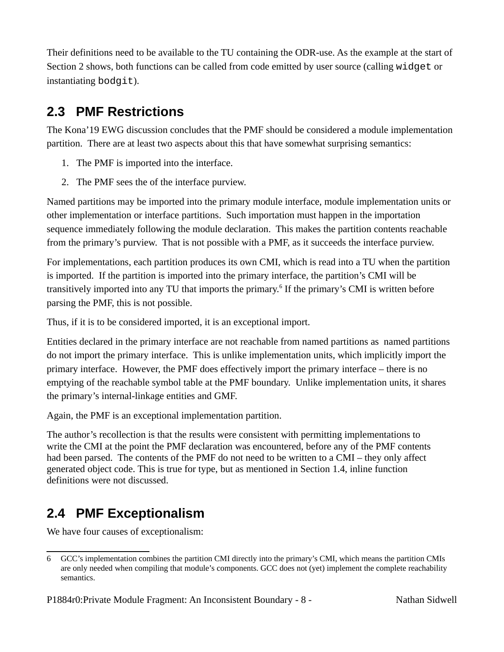Their definitions need to be available to the TU containing the ODR-use. As the example at the start of Section [2](#page-5-1) shows, both functions can be called from code emitted by user source (calling widget or instantiating bodgit).

#### **2.3 PMF Restrictions**

The Kona'19 EWG discussion concludes that the PMF should be considered a module implementation partition. There are at least two aspects about this that have somewhat surprising semantics:

- 1. The PMF is imported into the interface.
- 2. The PMF sees the of the interface purview.

Named partitions may be imported into the primary module interface, module implementation units or other implementation or interface partitions. Such importation must happen in the importation sequence immediately following the module declaration. This makes the partition contents reachable from the primary's purview. That is not possible with a PMF, as it succeeds the interface purview.

For implementations, each partition produces its own CMI, which is read into a TU when the partition is imported. If the partition is imported into the primary interface, the partition's CMI will be transitively imported into any TU that imports the primary.<sup>[6](#page-7-0)</sup> If the primary's CMI is written before parsing the PMF, this is not possible.

Thus, if it is to be considered imported, it is an exceptional import.

Entities declared in the primary interface are not reachable from named partitions as named partitions do not import the primary interface. This is unlike implementation units, which implicitly import the primary interface. However, the PMF does effectively import the primary interface – there is no emptying of the reachable symbol table at the PMF boundary. Unlike implementation units, it shares the primary's internal-linkage entities and GMF.

Again, the PMF is an exceptional implementation partition.

The author's recollection is that the results were consistent with permitting implementations to write the CMI at the point the PMF declaration was encountered, before any of the PMF contents had been parsed. The contents of the PMF do not need to be written to a CMI – they only affect generated object code. This is true for type, but as mentioned in Section [1.4](#page-3-3), inline function definitions were not discussed.

### **2.4 PMF Exceptionalism**

We have four causes of exceptionalism:

<span id="page-7-0"></span><sup>6</sup> GCC's implementation combines the partition CMI directly into the primary's CMI, which means the partition CMIs are only needed when compiling that module's components. GCC does not (yet) implement the complete reachability semantics.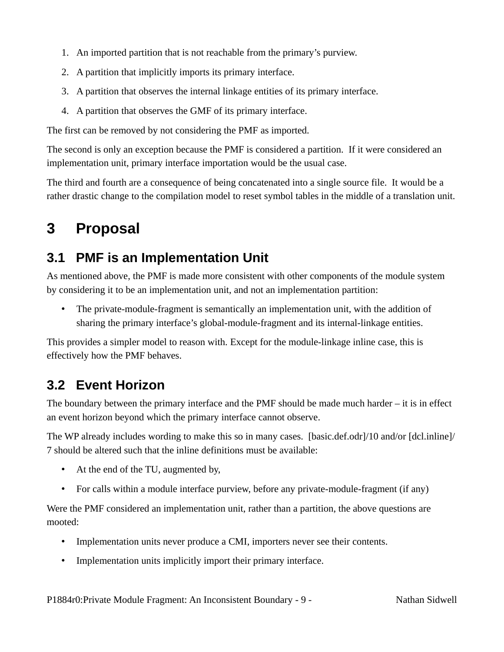- 1. An imported partition that is not reachable from the primary's purview.
- 2. A partition that implicitly imports its primary interface.
- 3. A partition that observes the internal linkage entities of its primary interface.
- 4. A partition that observes the GMF of its primary interface.

The first can be removed by not considering the PMF as imported.

The second is only an exception because the PMF is considered a partition. If it were considered an implementation unit, primary interface importation would be the usual case.

The third and fourth are a consequence of being concatenated into a single source file. It would be a rather drastic change to the compilation model to reset symbol tables in the middle of a translation unit.

### **3 Proposal**

#### **3.1 PMF is an Implementation Unit**

As mentioned above, the PMF is made more consistent with other components of the module system by considering it to be an implementation unit, and not an implementation partition:

• The private-module-fragment is semantically an implementation unit, with the addition of sharing the primary interface's global-module-fragment and its internal-linkage entities.

This provides a simpler model to reason with. Except for the module-linkage inline case, this is effectively how the PMF behaves.

#### **3.2 Event Horizon**

The boundary between the primary interface and the PMF should be made much harder – it is in effect an event horizon beyond which the primary interface cannot observe.

The WP already includes wording to make this so in many cases. [basic.def.odr]/10 and/or [dcl.inline]/ 7 should be altered such that the inline definitions must be available:

- At the end of the TU, augmented by,
- For calls within a module interface purview, before any private-module-fragment (if any)

Were the PMF considered an implementation unit, rather than a partition, the above questions are mooted:

- Implementation units never produce a CMI, importers never see their contents.
- Implementation units implicitly import their primary interface.